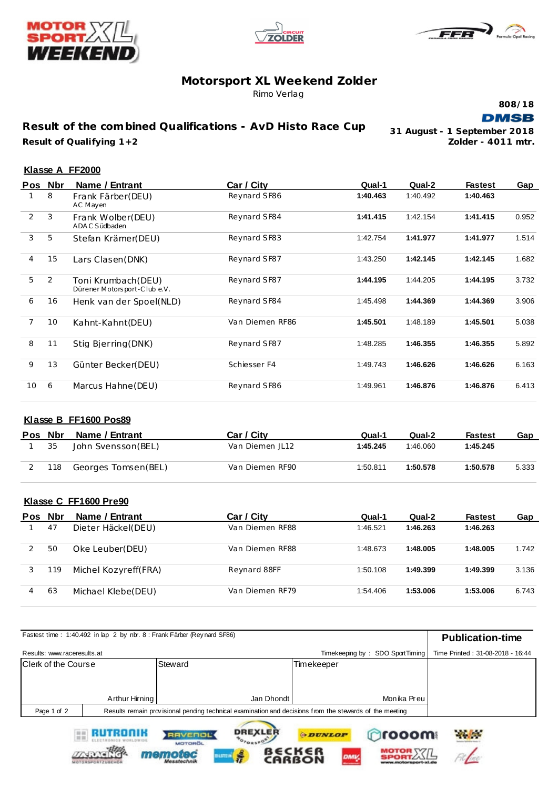





# **Motorsport XL Weekend Zolder**

Rimo Verlag

**808/18 DMSB** 

**Result of the combined Qualifications - AvD Histo Race Cup Result of Qualifying 1+2 Zolder - 4011 mtr.**

**31 August - 1 September 2018**

File

 $\frac{1}{2}$ 

### **Klasse A FF2000**

|    | Pos Nbr | Name / Entrant                                     | Car / City      | Qual-1   | Qual-2   | <b>Fastest</b> | Gap   |
|----|---------|----------------------------------------------------|-----------------|----------|----------|----------------|-------|
|    | 8       | Frank Färber (DEU)<br>AC Mayen                     | Reynard SF86    | 1:40.463 | 1:40.492 | 1:40.463       |       |
| 2  | 3       | Frank Wolber(DEU)<br>ADAC Südbaden                 | Reynard SF84    | 1:41.415 | 1:42.154 | 1:41.415       | 0.952 |
| 3  | 5       | Stefan Krämer(DEU)                                 | Reynard SF83    | 1:42.754 | 1:41.977 | 1:41.977       | 1.514 |
| 4  | 15      | Lars Clasen (DNK)                                  | Reynard SF87    | 1:43.250 | 1:42.145 | 1:42.145       | 1.682 |
| 5  | 2       | Toni Krumbach (DEU)<br>Dürener Motorsport-Clube.V. | Reynard SF87    | 1:44.195 | 1:44.205 | 1:44.195       | 3.732 |
| 6  | 16      | Henk van der Spoel(NLD)                            | Reynard SF84    | 1:45.498 | 1:44.369 | 1:44.369       | 3.906 |
| 7  | 10      | Kahnt-Kahnt (DEU)                                  | Van Diemen RF86 | 1:45.501 | 1:48.189 | 1:45.501       | 5.038 |
| 8  | 11      | Stig Bierring (DNK)                                | Reynard SF87    | 1:48.285 | 1:46.355 | 1:46.355       | 5.892 |
| 9  | 13      | Günter Becker(DEU)                                 | Schiesser F4    | 1:49.743 | 1:46.626 | 1:46.626       | 6.163 |
| 10 | 6       | Marcus Hahne (DEU)                                 | Reynard SF86    | 1:49.961 | 1:46.876 | 1:46.876       | 6.413 |

#### **Klasse B FF1600 Pos89**

| Pos Nbr |     | Name / Entrant      | Car / City      | Qual-1   | Qual-2   | Fastest  | Gap   |
|---------|-----|---------------------|-----------------|----------|----------|----------|-------|
|         | 35  | John Svensson (BEL) | Van Diemen JL12 | 1:45.245 | 1:46.060 | 1:45.245 |       |
|         | 118 | Georges Tomsen(BEL) | Van Diemen RF90 | 1:50.811 | 1:50.578 | 1:50.578 | 5.333 |

### **Klasse C FF1600 Pre90**

**TANK** 

memot

**HSTE** 

| <b>Pos</b> | <b>Nbr</b> | Name / Entrant       | Car / City      | Qual-1   | Qual-2   | <b>Fastest</b> | Gap   |
|------------|------------|----------------------|-----------------|----------|----------|----------------|-------|
|            | 47         | Dieter Häckel(DEU)   | Van Diemen RF88 | 1:46.521 | 1:46.263 | 1:46.263       |       |
|            | 50         | Oke Leuber(DEU)      | Van Diemen RF88 | 1:48.673 | 1:48.005 | 1:48.005       | 1.742 |
|            | 119        | Michel Kozvreff(FRA) | Reynard 88FF    | 1:50.108 | 1:49.399 | 1:49.399       | 3.136 |
| 4          | 63         | Michael Klebe(DEU)   | Van Diemen RF79 | 1:54.406 | 1:53.006 | 1:53.006       | 6.743 |

|                             |                | Fastest time: 1:40.492 in lap 2 by nbr. 8 : Frank Färber (Reynard SF86)                                 |                                 | <b>Publication-time</b>          |
|-----------------------------|----------------|---------------------------------------------------------------------------------------------------------|---------------------------------|----------------------------------|
| Results: www.raceresults.at |                |                                                                                                         | Timekeeping by: SDO SportTiming | Time Printed: 31-08-2018 - 16:44 |
| Clerk of the Course         |                | Steward                                                                                                 | Timekeeper                      |                                  |
|                             |                |                                                                                                         |                                 |                                  |
|                             | Arthur Hirning | Jan Dhondt                                                                                              | Monika Preu                     |                                  |
| Page 1 of 2                 |                | Results remain provisional pending technical examination and decisions from the stewards of the meeting |                                 |                                  |
|                             | RUTRONIK       | <b>DREXLER</b><br><b>RAVENOL</b><br>$O_{TQB5}$<br><b>MOTOROL</b>                                        | prooom<br><b>ODUNLOP</b>        | <b>Philadelphia</b>              |

B∈CK∈I